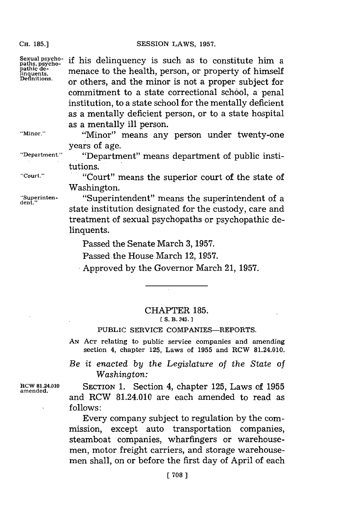if his delinquency is such as to constitute him a menace to the health, person, or property of himself or others, and the minor is not a proper subject for commitment to a state correctional school, a penal institution, to a state school for the mentally deficient as a mentally deficient person, or to a state hospital

**CH. 185.]**

**Sexual psycho-paths, psycho-pathic de-linquents. Definitions.**

**"Minor."**

as a mentally ill person. "Minor" means any person under twenty-one years of age.

."Department" means department of public institutions.

**dent."**

**"Department."**

**"Court."** ."Court" means the superior court of the state of Washington.

**"Superinten-** "Superintendent" means the superintendent of a state institution designated for the custody, care and treatment of sexual psychopaths or psychopathic delinquents.

Passed the Senate March **3, 1957.**

Passed the House March 12, **1957.**

Approved **by** the Governor March 21, **1957.**

## CHAPTER **185.**

[ S. B. 345.]

## PUBLIC SERVICE COMPANIES-REPORTS.

**AN ACT** relating to public service companies and amending section 4, chapter **125,** Laws of **1955** and RCW 81.24.010.

*Be it enacted by the Legislature of the State of Washington:*

**amended,**

**IICW 81.24.010 SECTION 1.** Section 4, chapter **125,** Laws of **1955** and RCW 81.24.010 are each amended to read as **follows:**

> Every company subject to regulation **by** the commission, except auto transportation companies, steamboat companies, wharfingers or warehousemen, motor freight carriers, and storage warehousemen shall, on or before the first day of April of each